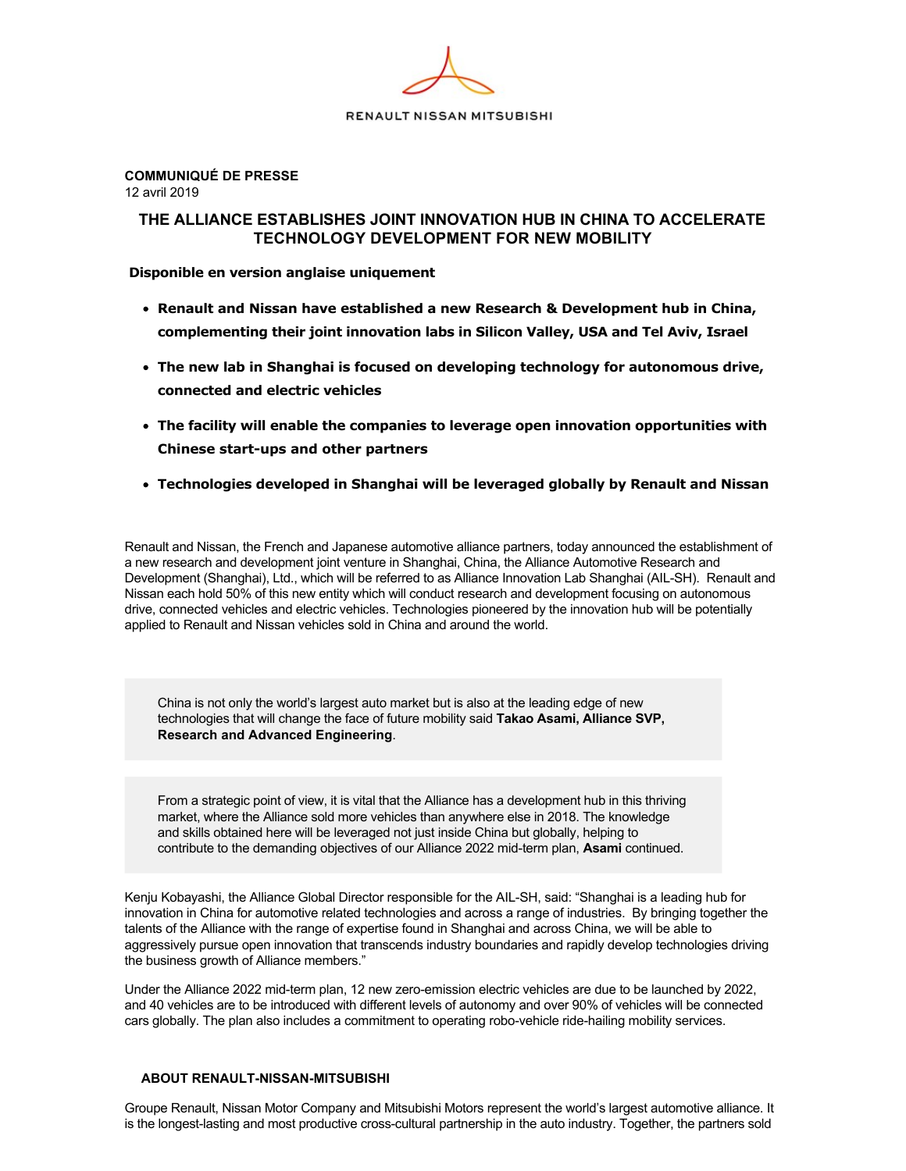

**COMMUNIQUÉ DE PRESSE**  12 avril 2019

# **THE ALLIANCE ESTABLISHES JOINT INNOVATION HUB IN CHINA TO ACCELERATE TECHNOLOGY DEVELOPMENT FOR NEW MOBILITY**

 **Disponible en version anglaise uniquement**

- **Renault and Nissan have established a new Research & Development hub in China, complementing their joint innovation labs in Silicon Valley, USA and Tel Aviv, Israel**
- **The new lab in Shanghai is focused on developing technology for autonomous drive, connected and electric vehicles**
- **The facility will enable the companies to leverage open innovation opportunities with Chinese start-ups and other partners**
- **Technologies developed in Shanghai will be leveraged globally by Renault and Nissan**

Renault and Nissan, the French and Japanese automotive alliance partners, today announced the establishment of a new research and development joint venture in Shanghai, China, the Alliance Automotive Research and Development (Shanghai), Ltd., which will be referred to as Alliance Innovation Lab Shanghai (AILSH). Renault and Nissan each hold 50% of this new entity which will conduct research and development focusing on autonomous drive, connected vehicles and electric vehicles. Technologies pioneered by the innovation hub will be potentially applied to Renault and Nissan vehicles sold in China and around the world.

China is not only the world's largest auto market but is also at the leading edge of new technologies that will change the face of future mobility said **Takao Asami, Alliance SVP, Research and Advanced Engineering**.

From a strategic point of view, it is vital that the Alliance has a development hub in this thriving market, where the Alliance sold more vehicles than anywhere else in 2018. The knowledge and skills obtained here will be leveraged not just inside China but globally, helping to contribute to the demanding objectives of our Alliance 2022 mid-term plan, Asami continued.

Kenju Kobayashi, the Alliance Global Director responsible for the AIL-SH, said: "Shanghai is a leading hub for innovation in China for automotive related technologies and across a range of industries. By bringing together the talents of the Alliance with the range of expertise found in Shanghai and across China, we will be able to aggressively pursue open innovation that transcends industry boundaries and rapidly develop technologies driving the business growth of Alliance members."

Under the Alliance 2022 mid-term plan, 12 new zero-emission electric vehicles are due to be launched by 2022, and 40 vehicles are to be introduced with different levels of autonomy and over 90% of vehicles will be connected cars globally. The plan also includes a commitment to operating robo-vehicle ride-hailing mobility services.

## **ABOUT RENAULT-NISSAN-MITSUBISHI**

Groupe Renault, Nissan Motor Company and Mitsubishi Motors represent the world's largest automotive alliance. It is the longest-lasting and most productive cross-cultural partnership in the auto industry. Together, the partners sold